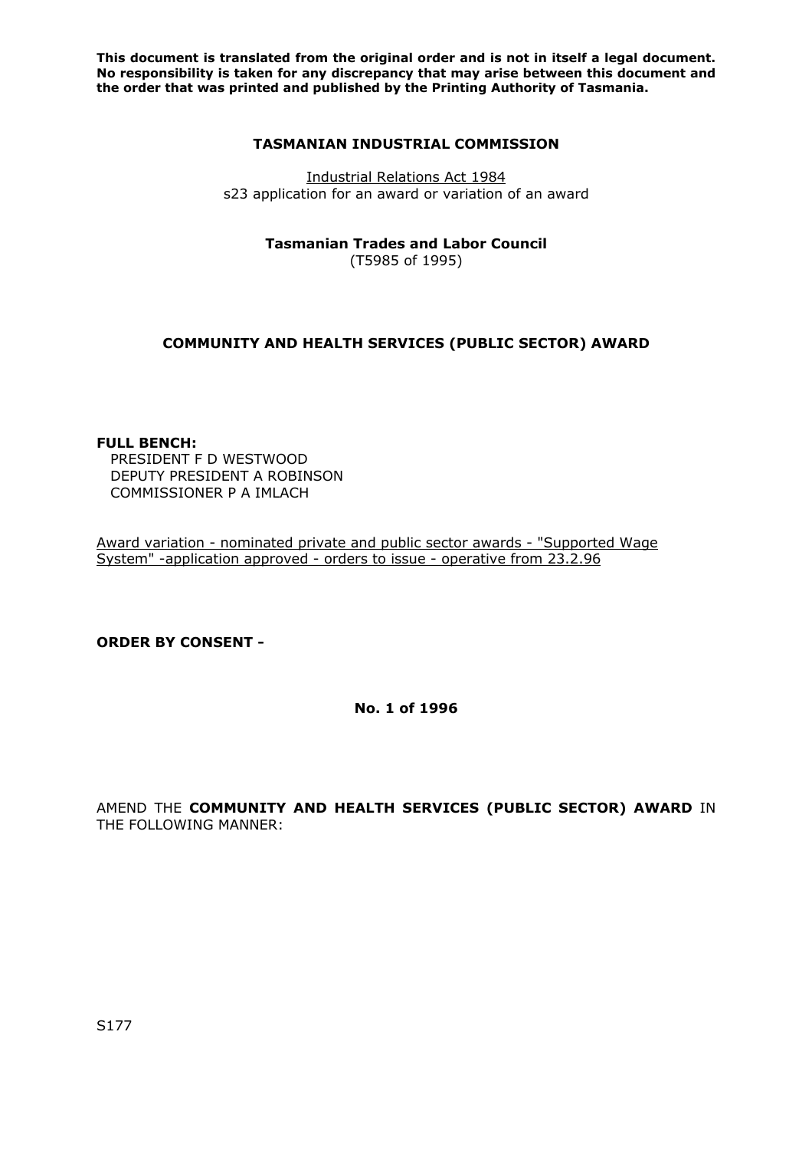#### **TASMANIAN INDUSTRIAL COMMISSION**

Industrial Relations Act 1984 s23 application for an award or variation of an award

**Tasmanian Trades and Labor Council** 

(T5985 of 1995)

# **COMMUNITY AND HEALTH SERVICES (PUBLIC SECTOR) AWARD**

### **FULL BENCH:**

PRESIDENT F D WESTWOOD DEPUTY PRESIDENT A ROBINSON COMMISSIONER P A IMLACH

Award variation - nominated private and public sector awards - "Supported Wage System" -application approved - orders to issue - operative from 23.2.96

## **ORDER BY CONSENT -**

**No. 1 of 1996** 

AMEND THE **COMMUNITY AND HEALTH SERVICES (PUBLIC SECTOR) AWARD** IN THE FOLLOWING MANNER: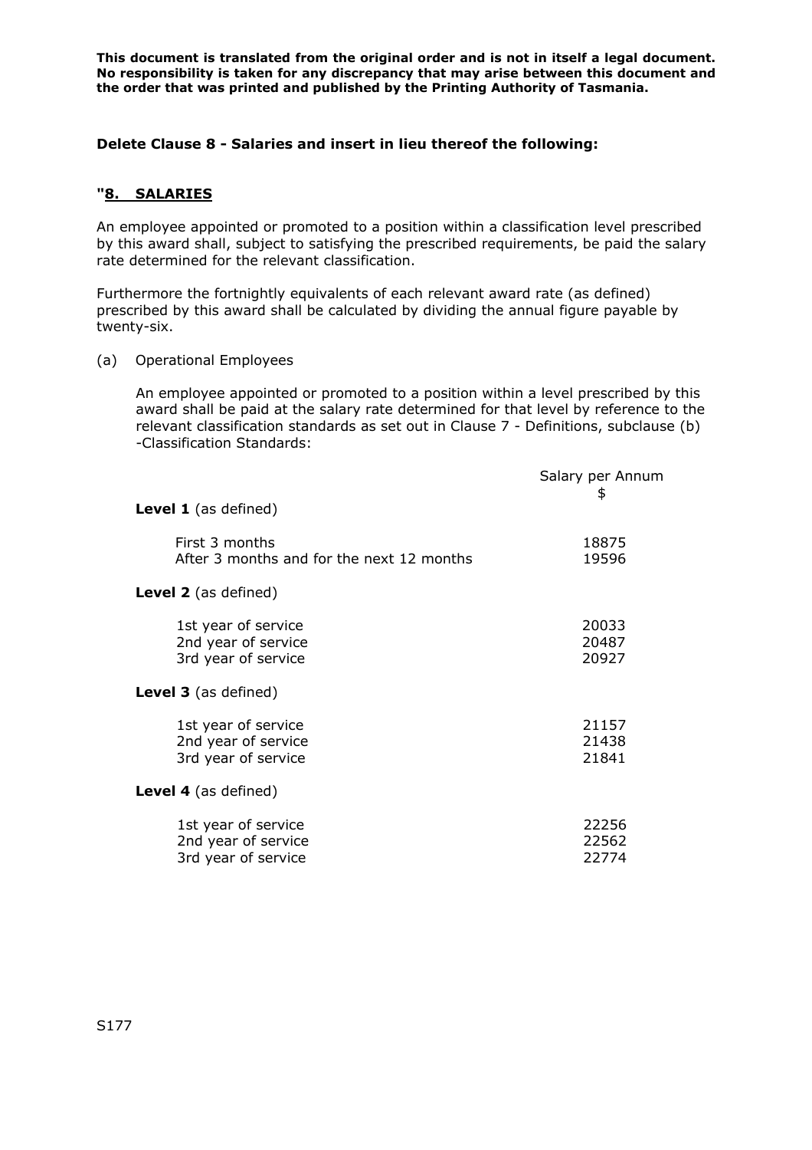### **Delete Clause 8 - Salaries and insert in lieu thereof the following:**

### **"8. SALARIES**

An employee appointed or promoted to a position within a classification level prescribed by this award shall, subject to satisfying the prescribed requirements, be paid the salary rate determined for the relevant classification.

Furthermore the fortnightly equivalents of each relevant award rate (as defined) prescribed by this award shall be calculated by dividing the annual figure payable by twenty-six.

(a) Operational Employees

An employee appointed or promoted to a position within a level prescribed by this award shall be paid at the salary rate determined for that level by reference to the relevant classification standards as set out in Clause 7 - Definitions, subclause (b) -Classification Standards:

|                                                                   | Salary per Annum<br>\$  |
|-------------------------------------------------------------------|-------------------------|
| <b>Level 1</b> (as defined)                                       |                         |
| First 3 months<br>After 3 months and for the next 12 months       | 18875<br>19596          |
| <b>Level 2</b> (as defined)                                       |                         |
| 1st year of service<br>2nd year of service<br>3rd year of service | 20033<br>20487<br>20927 |
| <b>Level 3</b> (as defined)                                       |                         |
| 1st year of service<br>2nd year of service<br>3rd year of service | 21157<br>21438<br>21841 |
| <b>Level 4</b> (as defined)                                       |                         |
| 1st year of service<br>2nd year of service<br>3rd year of service | 22256<br>22562<br>22774 |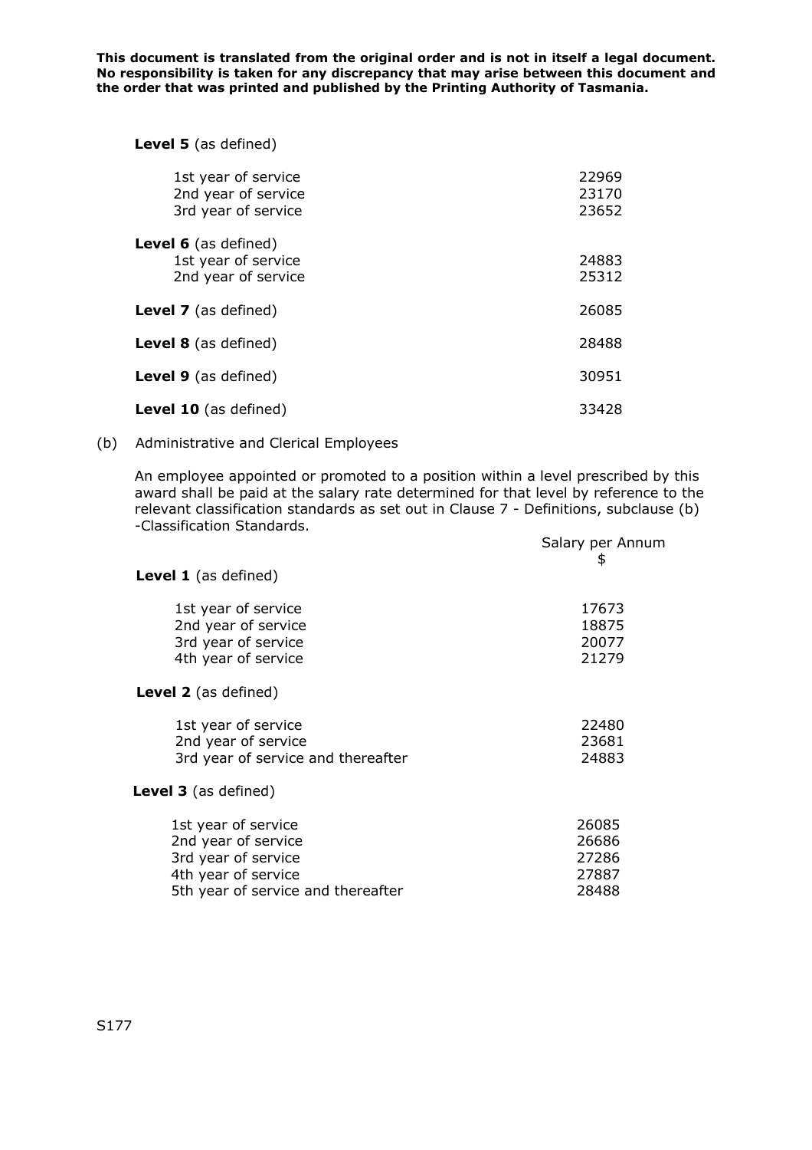**Level 5** (as defined)

| 1st year of service<br>2nd year of service<br>3rd year of service         | 22969<br>23170<br>23652 |
|---------------------------------------------------------------------------|-------------------------|
| <b>Level 6</b> (as defined)<br>1st year of service<br>2nd year of service | 24883<br>25312          |
| <b>Level 7</b> (as defined)                                               | 26085                   |
| <b>Level 8</b> (as defined)                                               | 28488                   |
| <b>Level 9</b> (as defined)                                               | 30951                   |
| <b>Level 10</b> (as defined)                                              | 33428                   |

# (b) Administrative and Clerical Employees

An employee appointed or promoted to a position within a level prescribed by this award shall be paid at the salary rate determined for that level by reference to the relevant classification standards as set out in Clause 7 - Definitions, subclause (b) -Classification Standards.

|                                                                                                                                | Salary per Annum<br>\$                    |
|--------------------------------------------------------------------------------------------------------------------------------|-------------------------------------------|
| <b>Level 1</b> (as defined)                                                                                                    |                                           |
| 1st year of service<br>2nd year of service<br>3rd year of service<br>4th year of service                                       | 17673<br>18875<br>20077<br>21279          |
| <b>Level 2</b> (as defined)                                                                                                    |                                           |
| 1st year of service<br>2nd year of service<br>3rd year of service and thereafter                                               | 22480<br>23681<br>24883                   |
| <b>Level 3</b> (as defined)                                                                                                    |                                           |
| 1st year of service<br>2nd year of service<br>3rd year of service<br>4th year of service<br>5th year of service and thereafter | 26085<br>26686<br>27286<br>27887<br>28488 |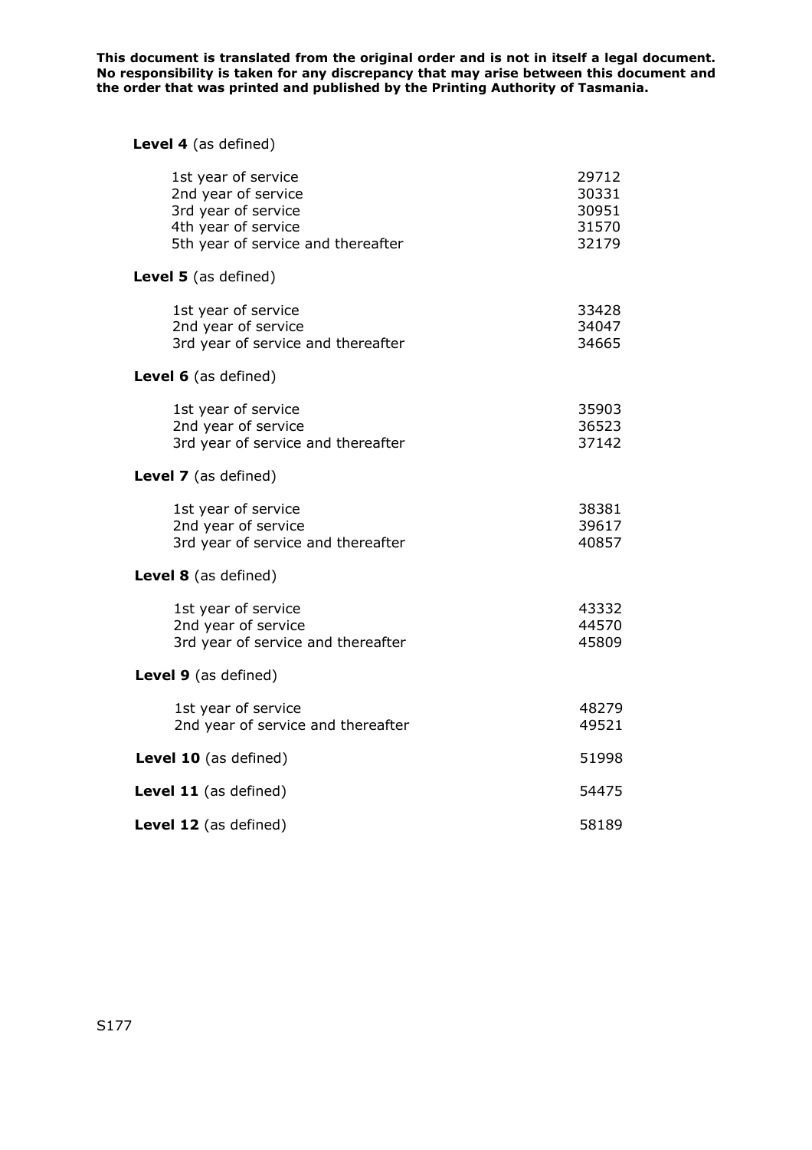# **Level 4** (as defined)

| 1st year of service<br>2nd year of service<br>3rd year of service<br>4th year of service<br>5th year of service and thereafter | 29712<br>30331<br>30951<br>31570<br>32179 |
|--------------------------------------------------------------------------------------------------------------------------------|-------------------------------------------|
| Level 5 (as defined)                                                                                                           |                                           |
| 1st year of service<br>2nd year of service<br>3rd year of service and thereafter                                               | 33428<br>34047<br>34665                   |
| Level 6 (as defined)                                                                                                           |                                           |
| 1st year of service<br>2nd year of service<br>3rd year of service and thereafter                                               | 35903<br>36523<br>37142                   |
| Level 7 (as defined)                                                                                                           |                                           |
| 1st year of service<br>2nd year of service<br>3rd year of service and thereafter                                               | 38381<br>39617<br>40857                   |
| Level 8 (as defined)                                                                                                           |                                           |
| 1st year of service<br>2nd year of service<br>3rd year of service and thereafter                                               | 43332<br>44570<br>45809                   |
| Level 9 (as defined)                                                                                                           |                                           |
| 1st year of service<br>2nd year of service and thereafter                                                                      | 48279<br>49521                            |
| Level 10 (as defined)                                                                                                          | 51998                                     |
| Level 11 (as defined)                                                                                                          | 54475                                     |
| Level 12 (as defined)                                                                                                          | 58189                                     |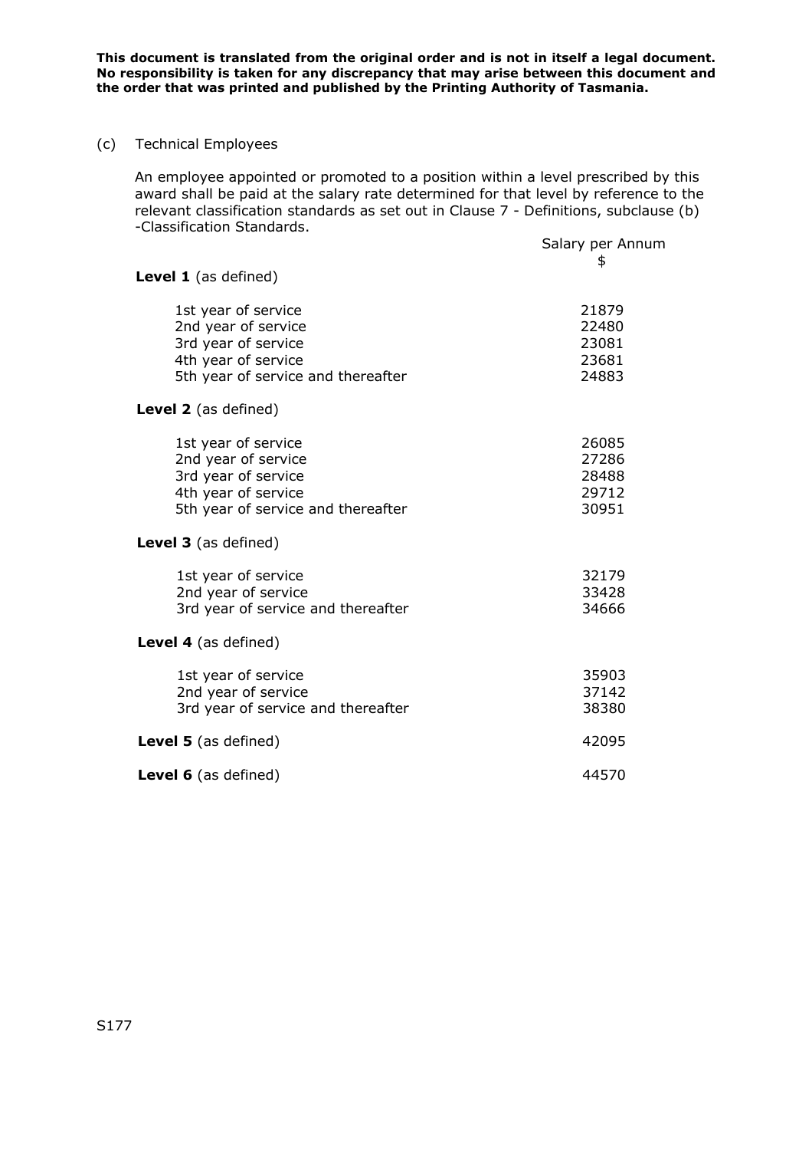#### (c) Technical Employees

An employee appointed or promoted to a position within a level prescribed by this award shall be paid at the salary rate determined for that level by reference to the relevant classification standards as set out in Clause 7 - Definitions, subclause (b) -Classification Standards.

| asscac.or. scariaar                                                                                                            | Salary per Annum<br>\$                    |
|--------------------------------------------------------------------------------------------------------------------------------|-------------------------------------------|
| Level 1 (as defined)                                                                                                           |                                           |
| 1st year of service<br>2nd year of service<br>3rd year of service<br>4th year of service<br>5th year of service and thereafter | 21879<br>22480<br>23081<br>23681<br>24883 |
| <b>Level 2</b> (as defined)                                                                                                    |                                           |
| 1st year of service<br>2nd year of service<br>3rd year of service<br>4th year of service<br>5th year of service and thereafter | 26085<br>27286<br>28488<br>29712<br>30951 |
| <b>Level 3</b> (as defined)                                                                                                    |                                           |
| 1st year of service<br>2nd year of service<br>3rd year of service and thereafter                                               | 32179<br>33428<br>34666                   |
| Level 4 (as defined)                                                                                                           |                                           |
| 1st year of service<br>2nd year of service<br>3rd year of service and thereafter                                               | 35903<br>37142<br>38380                   |
| <b>Level 5</b> (as defined)                                                                                                    | 42095                                     |
| Level 6 (as defined)                                                                                                           | 44570                                     |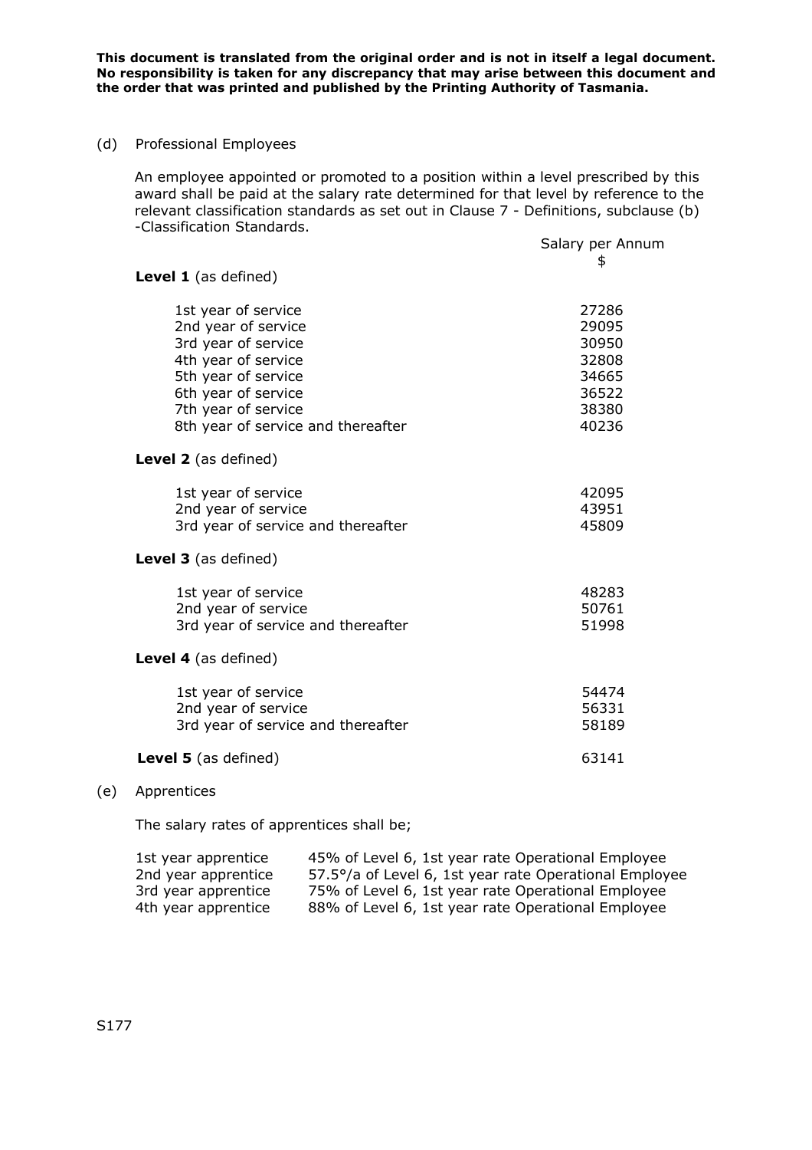(d) Professional Employees

An employee appointed or promoted to a position within a level prescribed by this award shall be paid at the salary rate determined for that level by reference to the relevant classification standards as set out in Clause 7 - Definitions, subclause (b) -Classification Standards.

|                                    | Salary per Annum |
|------------------------------------|------------------|
|                                    | \$               |
| <b>Level 1</b> (as defined)        |                  |
| 1st year of service                | 27286            |
| 2nd year of service                | 29095            |
| 3rd year of service                | 30950            |
| 4th year of service                | 32808            |
| 5th year of service                | 34665            |
| 6th year of service                | 36522            |
| 7th year of service                | 38380            |
| 8th year of service and thereafter | 40236            |
| <b>Level 2</b> (as defined)        |                  |
| 1st year of service                | 42095            |
| 2nd year of service                | 43951            |
| 3rd year of service and thereafter | 45809            |
| Level 3 (as defined)               |                  |
| 1st year of service                | 48283            |
| 2nd year of service                | 50761            |
| 3rd year of service and thereafter | 51998            |
| <b>Level 4</b> (as defined)        |                  |
| 1st year of service                | 54474            |
| 2nd year of service                | 56331            |
| 3rd year of service and thereafter | 58189            |
| <b>Level 5</b> (as defined)        | 63141            |

#### (e) Apprentices

The salary rates of apprentices shall be;

| 1st year apprentice | 45% of Level 6, 1st year rate Operational Employee     |
|---------------------|--------------------------------------------------------|
| 2nd year apprentice | 57.5°/a of Level 6, 1st year rate Operational Employee |
| 3rd year apprentice | 75% of Level 6, 1st year rate Operational Employee     |
| 4th year apprentice | 88% of Level 6, 1st year rate Operational Employee     |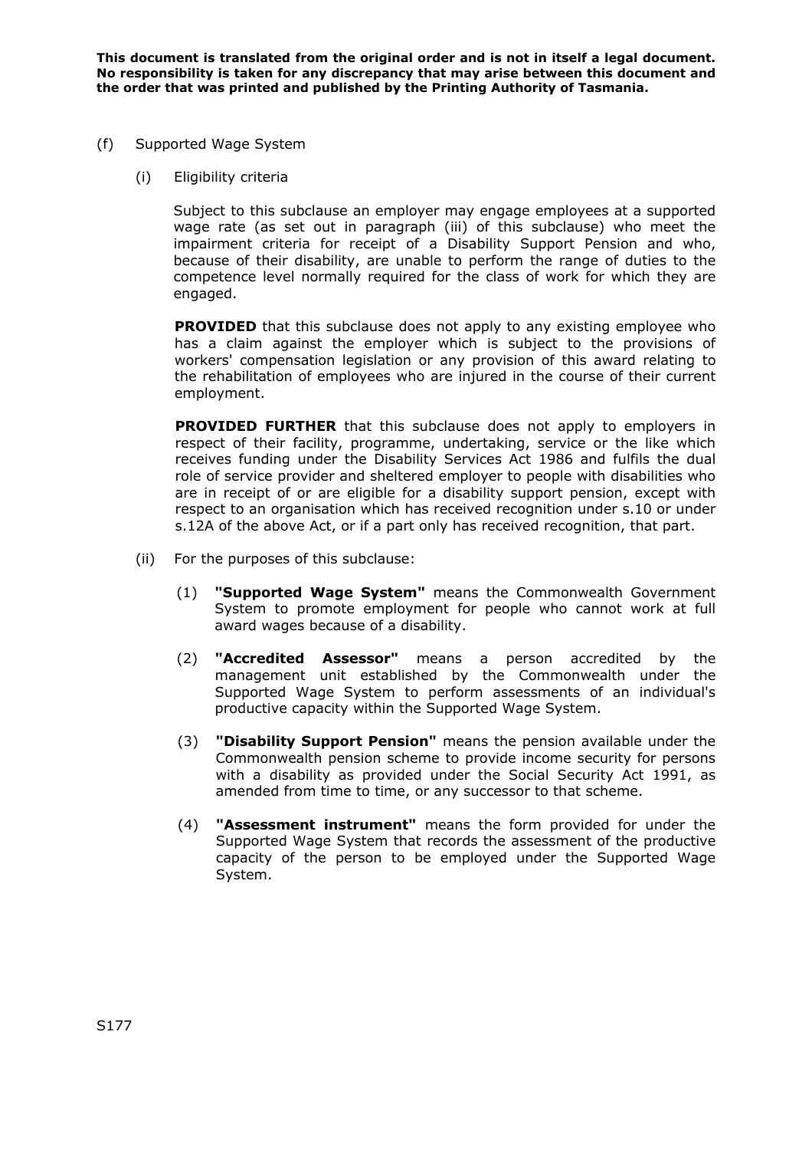- (f) Supported Wage System
	- (i) Eligibility criteria

Subject to this subclause an employer may engage employees at a supported wage rate (as set out in paragraph (iii) of this subclause) who meet the impairment criteria for receipt of a Disability Support Pension and who, because of their disability, are unable to perform the range of duties to the competence level normally required for the class of work for which they are engaged.

**PROVIDED** that this subclause does not apply to any existing employee who has a claim against the employer which is subject to the provisions of workers' compensation legislation or any provision of this award relating to the rehabilitation of employees who are injured in the course of their current employment.

**PROVIDED FURTHER** that this subclause does not apply to employers in respect of their facility, programme, undertaking, service or the like which receives funding under the Disability Services Act 1986 and fulfils the dual role of service provider and sheltered employer to people with disabilities who are in receipt of or are eligible for a disability support pension, except with respect to an organisation which has received recognition under s.10 or under s.12A of the above Act, or if a part only has received recognition, that part.

- (ii) For the purposes of this subclause:
	- (1) **"Supported Wage System"** means the Commonwealth Government System to promote employment for people who cannot work at full award wages because of a disability.
	- (2) **"Accredited Assessor"** means a person accredited by the management unit established by the Commonwealth under the Supported Wage System to perform assessments of an individual's productive capacity within the Supported Wage System.
	- (3) **"Disability Support Pension"** means the pension available under the Commonwealth pension scheme to provide income security for persons with a disability as provided under the Social Security Act 1991, as amended from time to time, or any successor to that scheme.
	- (4) **"Assessment instrument"** means the form provided for under the Supported Wage System that records the assessment of the productive capacity of the person to be employed under the Supported Wage System.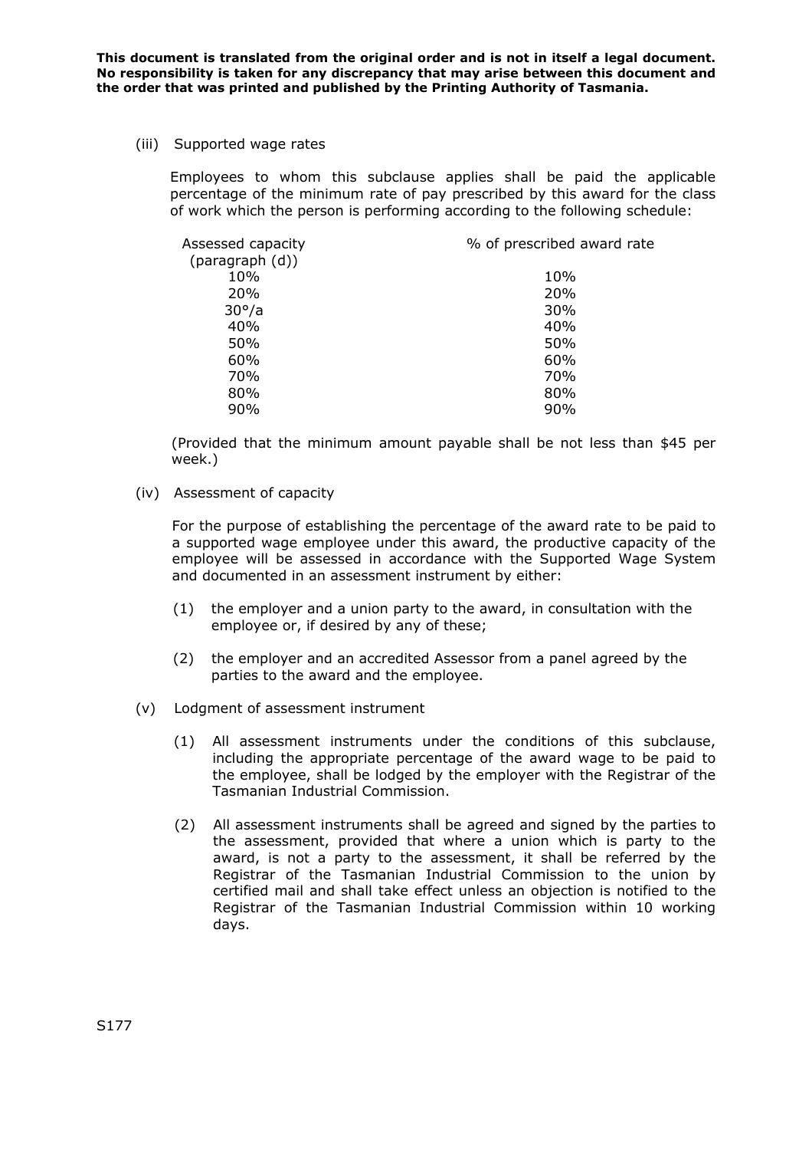(iii) Supported wage rates

Employees to whom this subclause applies shall be paid the applicable percentage of the minimum rate of pay prescribed by this award for the class of work which the person is performing according to the following schedule:

| Assessed capacity | % of prescribed award rate |
|-------------------|----------------------------|
| (paragraph (d))   |                            |
| 10%               | 10%                        |
| <b>20%</b>        | <b>20%</b>                 |
| $30^\circ/a$      | 30%                        |
| 40%               | 40%                        |
| 50%               | 50%                        |
| 60%               | 60%                        |
| 70%               | 70%                        |
| 80%               | 80%                        |
| 90%               | 90%                        |

(Provided that the minimum amount payable shall be not less than \$45 per week.)

(iv) Assessment of capacity

For the purpose of establishing the percentage of the award rate to be paid to a supported wage employee under this award, the productive capacity of the employee will be assessed in accordance with the Supported Wage System and documented in an assessment instrument by either:

- (1) the employer and a union party to the award, in consultation with the employee or, if desired by any of these;
- (2) the employer and an accredited Assessor from a panel agreed by the parties to the award and the employee.
- (v) Lodgment of assessment instrument
	- (1) All assessment instruments under the conditions of this subclause, including the appropriate percentage of the award wage to be paid to the employee, shall be lodged by the employer with the Registrar of the Tasmanian Industrial Commission.
	- (2) All assessment instruments shall be agreed and signed by the parties to the assessment, provided that where a union which is party to the award, is not a party to the assessment, it shall be referred by the Registrar of the Tasmanian Industrial Commission to the union by certified mail and shall take effect unless an objection is notified to the Registrar of the Tasmanian Industrial Commission within 10 working days.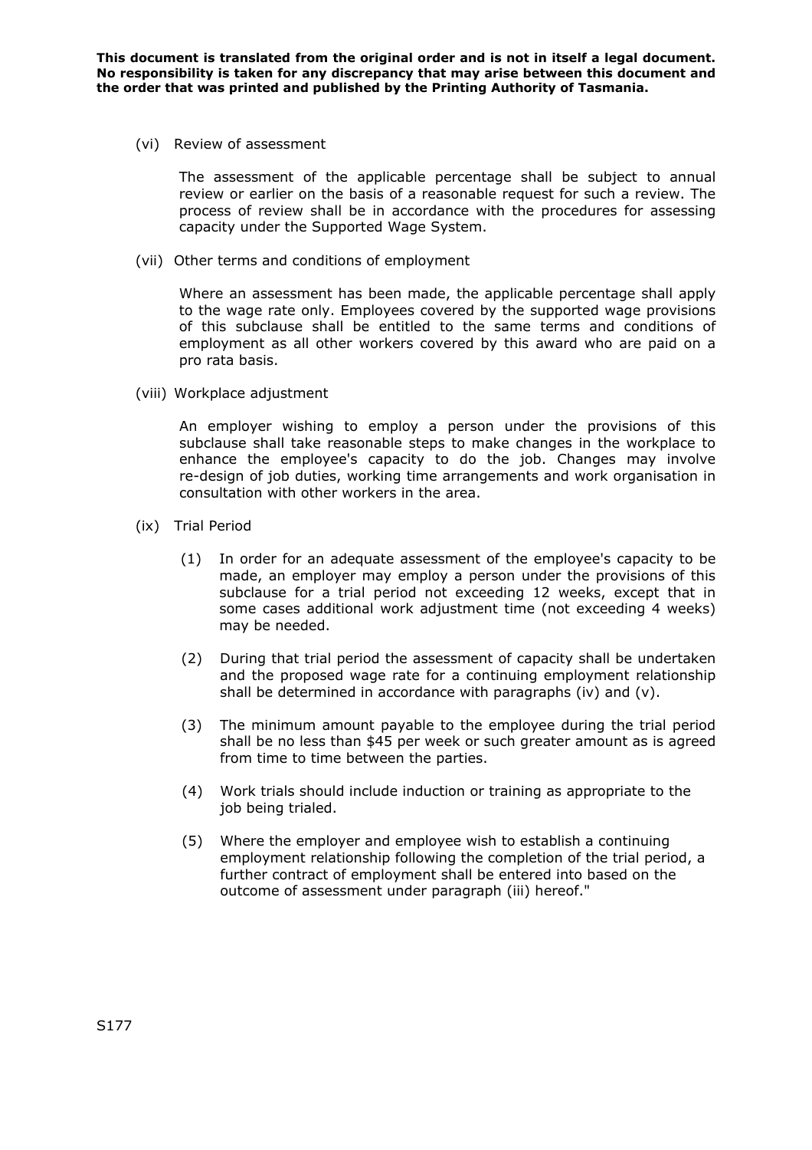(vi) Review of assessment

The assessment of the applicable percentage shall be subject to annual review or earlier on the basis of a reasonable request for such a review. The process of review shall be in accordance with the procedures for assessing capacity under the Supported Wage System.

(vii) Other terms and conditions of employment

Where an assessment has been made, the applicable percentage shall apply to the wage rate only. Employees covered by the supported wage provisions of this subclause shall be entitled to the same terms and conditions of employment as all other workers covered by this award who are paid on a pro rata basis.

(viii) Workplace adjustment

An employer wishing to employ a person under the provisions of this subclause shall take reasonable steps to make changes in the workplace to enhance the employee's capacity to do the job. Changes may involve re-design of job duties, working time arrangements and work organisation in consultation with other workers in the area.

- (ix) Trial Period
	- (1) In order for an adequate assessment of the employee's capacity to be made, an employer may employ a person under the provisions of this subclause for a trial period not exceeding 12 weeks, except that in some cases additional work adjustment time (not exceeding 4 weeks) may be needed.
	- (2) During that trial period the assessment of capacity shall be undertaken and the proposed wage rate for a continuing employment relationship shall be determined in accordance with paragraphs (iv) and (v).
	- (3) The minimum amount payable to the employee during the trial period shall be no less than \$45 per week or such greater amount as is agreed from time to time between the parties.
	- (4) Work trials should include induction or training as appropriate to the job being trialed.
	- (5) Where the employer and employee wish to establish a continuing employment relationship following the completion of the trial period, a further contract of employment shall be entered into based on the outcome of assessment under paragraph (iii) hereof."